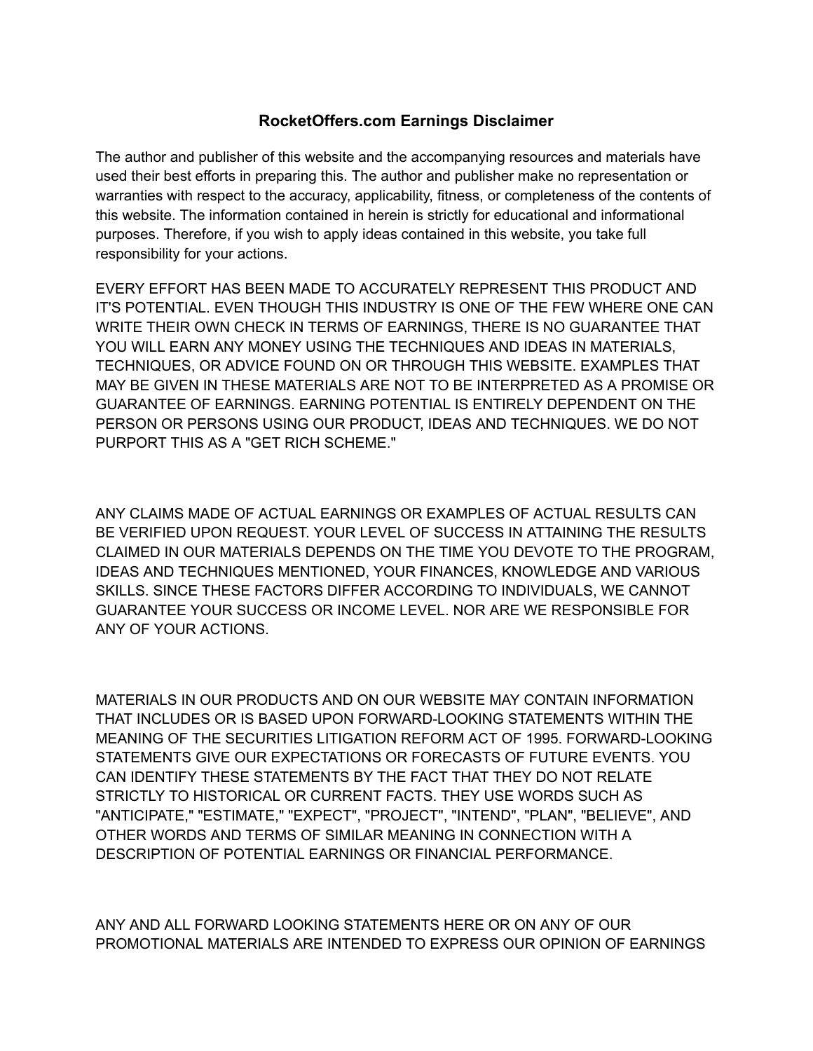## **RocketOffers.com Earnings Disclaimer**

The author and publisher of this website and the accompanying resources and materials have used their best efforts in preparing this. The author and publisher make no representation or warranties with respect to the accuracy, applicability, fitness, or completeness of the contents of this website. The information contained in herein is strictly for educational and informational purposes. Therefore, if you wish to apply ideas contained in this website, you take full responsibility for your actions.

EVERY EFFORT HAS BEEN MADE TO ACCURATELY REPRESENT THIS PRODUCT AND IT'S POTENTIAL. EVEN THOUGH THIS INDUSTRY IS ONE OF THE FEW WHERE ONE CAN WRITE THEIR OWN CHECK IN TERMS OF EARNINGS, THERE IS NO GUARANTEE THAT YOU WILL EARN ANY MONEY USING THE TECHNIQUES AND IDEAS IN MATERIALS, TECHNIQUES, OR ADVICE FOUND ON OR THROUGH THIS WEBSITE. EXAMPLES THAT MAY BE GIVEN IN THESE MATERIALS ARE NOT TO BE INTERPRETED AS A PROMISE OR GUARANTEE OF EARNINGS. EARNING POTENTIAL IS ENTIRELY DEPENDENT ON THE PERSON OR PERSONS USING OUR PRODUCT, IDEAS AND TECHNIQUES. WE DO NOT PURPORT THIS AS A "GET RICH SCHEME."

ANY CLAIMS MADE OF ACTUAL EARNINGS OR EXAMPLES OF ACTUAL RESULTS CAN BE VERIFIED UPON REQUEST. YOUR LEVEL OF SUCCESS IN ATTAINING THE RESULTS CLAIMED IN OUR MATERIALS DEPENDS ON THE TIME YOU DEVOTE TO THE PROGRAM, IDEAS AND TECHNIQUES MENTIONED, YOUR FINANCES, KNOWLEDGE AND VARIOUS SKILLS. SINCE THESE FACTORS DIFFER ACCORDING TO INDIVIDUALS, WE CANNOT GUARANTEE YOUR SUCCESS OR INCOME LEVEL. NOR ARE WE RESPONSIBLE FOR ANY OF YOUR ACTIONS.

MATERIALS IN OUR PRODUCTS AND ON OUR WEBSITE MAY CONTAIN INFORMATION THAT INCLUDES OR IS BASED UPON FORWARD-LOOKING STATEMENTS WITHIN THE MEANING OF THE SECURITIES LITIGATION REFORM ACT OF 1995. FORWARD-LOOKING STATEMENTS GIVE OUR EXPECTATIONS OR FORECASTS OF FUTURE EVENTS. YOU CAN IDENTIFY THESE STATEMENTS BY THE FACT THAT THEY DO NOT RELATE STRICTLY TO HISTORICAL OR CURRENT FACTS. THEY USE WORDS SUCH AS "ANTICIPATE," "ESTIMATE," "EXPECT", "PROJECT", "INTEND", "PLAN", "BELIEVE", AND OTHER WORDS AND TERMS OF SIMILAR MEANING IN CONNECTION WITH A DESCRIPTION OF POTENTIAL EARNINGS OR FINANCIAL PERFORMANCE.

ANY AND ALL FORWARD LOOKING STATEMENTS HERE OR ON ANY OF OUR PROMOTIONAL MATERIALS ARE INTENDED TO EXPRESS OUR OPINION OF EARNINGS